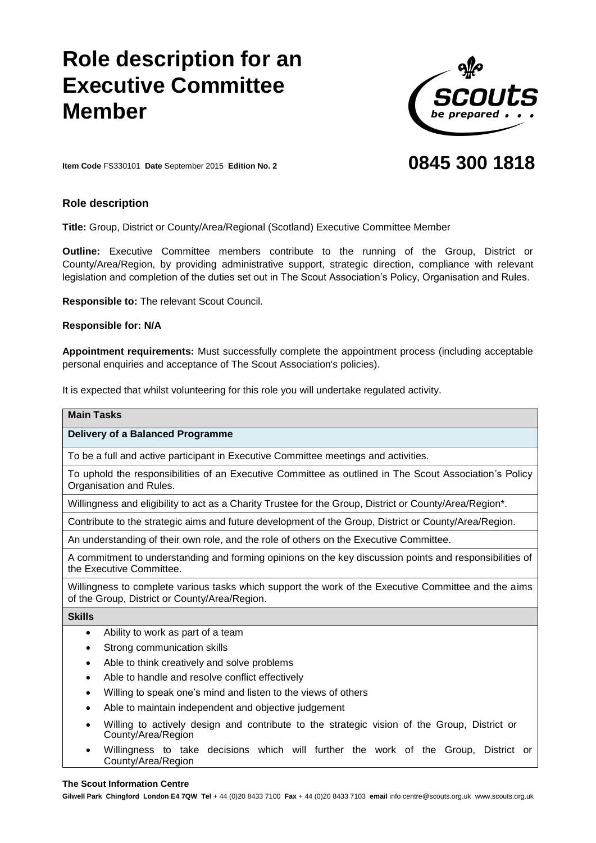# **Role description fo Executive Committee Member**



# **0845 300 1818**

**Item Code** FS330101 **Date** September 2015 **Edition No. 2**

## **Role description**

**Title:** Group, District or County/Area/Regional (Scotland) Executive Committee Member

**Outline:** Executive Committee members contribute to the running of the Group, District or County/Area/Region, by providing administrative support, strategic direction, compliance with relevant legislation and completion of the duties set out in The Scout Association's Policy, Organisation and Rules.

**Responsible to:** The relevant Scout Council.

### **Responsible for: N/A**

**Appointment requirements:** Must successfully complete the appointment process (including acceptable personal enquiries and acceptance of The Scout Association's policies).

It is expected that whilst volunteering for this role you will undertake regulated activity.

| <b>Main Tasks</b>                                                                                                                                     |
|-------------------------------------------------------------------------------------------------------------------------------------------------------|
| Delivery of a Balanced Programme                                                                                                                      |
| To be a full and active participant in Executive Committee meetings and activities.                                                                   |
| To uphold the responsibilities of an Executive Committee as outlined in The Scout Association's Policy<br>Organisation and Rules.                     |
| Willingness and eligibility to act as a Charity Trustee for the Group, District or County/Area/Region*.                                               |
| Contribute to the strategic aims and future development of the Group, District or County/Area/Region.                                                 |
| An understanding of their own role, and the role of others on the Executive Committee.                                                                |
| A commitment to understanding and forming opinions on the key discussion points and responsibilities of<br>the Executive Committee.                   |
| Willingness to complete various tasks which support the work of the Executive Committee and the aims<br>of the Group, District or County/Area/Region. |
| <b>Skills</b>                                                                                                                                         |
| Ability to work as part of a team<br>$\bullet$                                                                                                        |
| Strong communication skills                                                                                                                           |
| Able to think creatively and solve problems<br>٠                                                                                                      |
| Able to handle and resolve conflict effectively<br>٠                                                                                                  |
| Willing to speak one's mind and listen to the views of others<br>٠                                                                                    |
| Able to maintain independent and objective judgement                                                                                                  |

- Willing to actively design and contribute to the strategic vision of the Group, District or County/Area/Region
- Willingness to take decisions which will further the work of the Group, District or County/Area/Region

#### **The Scout Information Centre**

**Gilwell Park Chingford London E4 7QW Tel** + 44 (0)20 8433 7100 **Fax** + 44 (0)20 8433 7103 **email** info.centre@scouts.org.uk www.scouts.org.uk